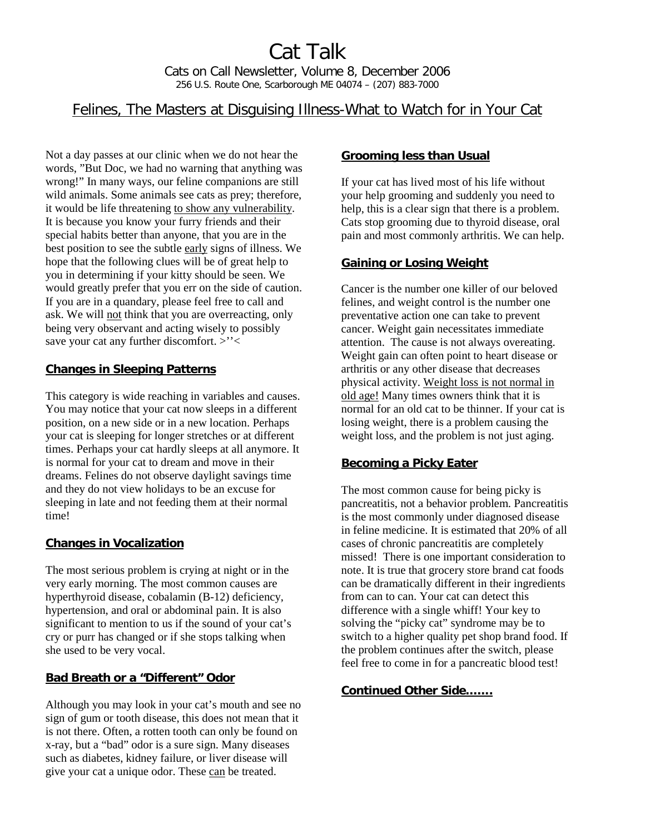# Felines, The Masters at Disguising Illness-What to Watch for in Your Cat

Not a day passes at our clinic when we do not hear the words, "But Doc, we had no warning that anything was wrong!" In many ways, our feline companions are still wild animals. Some animals see cats as prey; therefore, it would be life threatening to show any vulnerability. It is because you know your furry friends and their special habits better than anyone, that you are in the best position to see the subtle early signs of illness. We hope that the following clues will be of great help to you in determining if your kitty should be seen. We would greatly prefer that you err on the side of caution. If you are in a quandary, please feel free to call and ask. We will not think that you are overreacting, only being very observant and acting wisely to possibly save your cat any further discomfort. >"<

### **Changes in Sleeping Patterns**

This category is wide reaching in variables and causes. You may notice that your cat now sleeps in a different position, on a new side or in a new location. Perhaps your cat is sleeping for longer stretches or at different times. Perhaps your cat hardly sleeps at all anymore. It is normal for your cat to dream and move in their dreams. Felines do not observe daylight savings time and they do not view holidays to be an excuse for sleeping in late and not feeding them at their normal time!

## **Changes in Vocalization**

The most serious problem is crying at night or in the very early morning. The most common causes are hyperthyroid disease, cobalamin (B-12) deficiency, hypertension, and oral or abdominal pain. It is also significant to mention to us if the sound of your cat's cry or purr has changed or if she stops talking when she used to be very vocal.

### **Bad Breath or a "Different" Odor**

Although you may look in your cat's mouth and see no sign of gum or tooth disease, this does not mean that it is not there. Often, a rotten tooth can only be found on x-ray, but a "bad" odor is a sure sign. Many diseases such as diabetes, kidney failure, or liver disease will give your cat a unique odor. These can be treated.

#### **Grooming less than Usual**

If your cat has lived most of his life without your help grooming and suddenly you need to help, this is a clear sign that there is a problem. Cats stop grooming due to thyroid disease, oral pain and most commonly arthritis. We can help.

### **Gaining or Losing Weight**

Cancer is the number one killer of our beloved felines, and weight control is the number one preventative action one can take to prevent cancer. Weight gain necessitates immediate attention. The cause is not always overeating. Weight gain can often point to heart disease or arthritis or any other disease that decreases physical activity. Weight loss is not normal in old age! Many times owners think that it is normal for an old cat to be thinner. If your cat is losing weight, there is a problem causing the weight loss, and the problem is not just aging.

## **Becoming a Picky Eater**

The most common cause for being picky is pancreatitis, not a behavior problem. Pancreatitis is the most commonly under diagnosed disease in feline medicine. It is estimated that 20% of all cases of chronic pancreatitis are completely missed! There is one important consideration to note. It is true that grocery store brand cat foods can be dramatically different in their ingredients from can to can. Your cat can detect this difference with a single whiff! Your key to solving the "picky cat" syndrome may be to switch to a higher quality pet shop brand food. If the problem continues after the switch, please feel free to come in for a pancreatic blood test!

### **Continued Other Side…….**